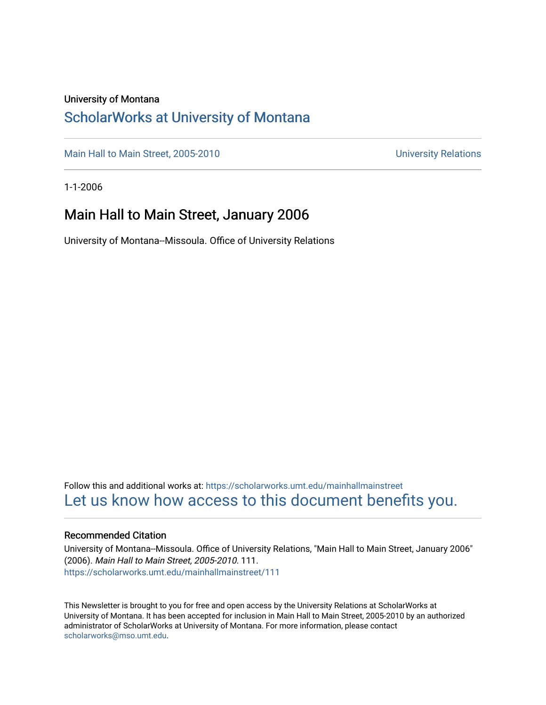### University of Montana

## [ScholarWorks at University of Montana](https://scholarworks.umt.edu/)

[Main Hall to Main Street, 2005-2010](https://scholarworks.umt.edu/mainhallmainstreet) Main Hall to Main Street, 2005-2010

1-1-2006

## Main Hall to Main Street, January 2006

University of Montana--Missoula. Office of University Relations

Follow this and additional works at: [https://scholarworks.umt.edu/mainhallmainstreet](https://scholarworks.umt.edu/mainhallmainstreet?utm_source=scholarworks.umt.edu%2Fmainhallmainstreet%2F111&utm_medium=PDF&utm_campaign=PDFCoverPages) [Let us know how access to this document benefits you.](https://goo.gl/forms/s2rGfXOLzz71qgsB2) 

#### Recommended Citation

University of Montana--Missoula. Office of University Relations, "Main Hall to Main Street, January 2006" (2006). Main Hall to Main Street, 2005-2010. 111. [https://scholarworks.umt.edu/mainhallmainstreet/111](https://scholarworks.umt.edu/mainhallmainstreet/111?utm_source=scholarworks.umt.edu%2Fmainhallmainstreet%2F111&utm_medium=PDF&utm_campaign=PDFCoverPages)

This Newsletter is brought to you for free and open access by the University Relations at ScholarWorks at University of Montana. It has been accepted for inclusion in Main Hall to Main Street, 2005-2010 by an authorized administrator of ScholarWorks at University of Montana. For more information, please contact [scholarworks@mso.umt.edu.](mailto:scholarworks@mso.umt.edu)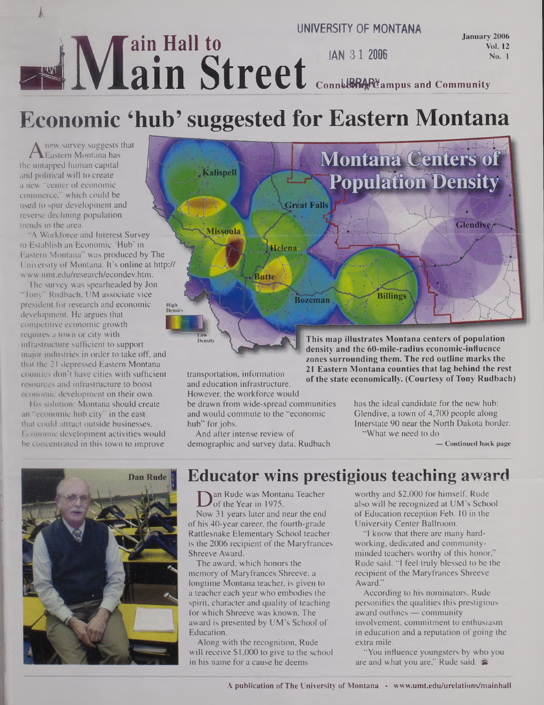### *k*  $\frac{1}{2}$  **N**  $\frac{1}{2}$  **a**  $\frac{1}{2}$  **Hall to ■alVlain Street UNIVERSITY OF MONTANA JAN 31 <sup>2006</sup> January 2006 Vol. 12 No. <sup>1</sup> ConnUBRARYampus and Community**

# **Economic 'hub' suggested for Eastern Montana**

 $A$  hew survey suggests that  $\bigcup_{\text{L}}$ new survey suggests that the untapped human capital and political will to create a new "center of economic commerce," which could be used to spur development and reverse declining population trends in the area.

"A Workforce and Interest Survey <sup>1</sup> to Establish an Economic 'Hub' in Eastern Montana" was produced by The University of Montana. It's online at http:// [www.umt.edu/research/econdev.htm](http://www.umt.edu/research/econdev.htm).

The survey was spearheaded by Jon "Tony" Rudbach, UM associate vice president for research and economic development. He argues that competitive economic growth requires a town or city with infrastructure sufficient to support major industries in order to take off, and that the 21 depressed Eastern Montana counties don't have cities with sufficient resources and infrastructure to boost economic development on their own.

His solution: Montana should create an "economic hub city" in the east that could attract outside businesses. Economic development activities would be concentrated in this town to improve





transportation, information and education infrastructure. **21 Eastern Montana counties that lag behind the rest of the state economically. (Courtesy ofTony Rudbach)** However, the workforce would

be drawn from wide-spread communities and would commute to the "economic hub" for jobs.

And after intense review of demographic and survey data, Rudbach has the ideal candidate for the new hub: Glendive, a town of 4,700 people along Interstate 90 near the North Dakota border.

"What we need to do

**— Continued back page**

# **Educator wins prestigious teaching award**

**D** an Rude was Montana Teacher<br>Now 31 years later and near the end an Rude was Montana Teacher of the Year in 1975.

of his 40-year career, the fourth-grade Rattlesnake Elementary School teacher is the 2006 recipient of the Maryfrances Shreeve Award.

The award, which honors the memory of Maryfrances Shreeve, a longtime Montana teacher, is given to a teacher each year who embodies the spirit, character and quality of teaching for which Shreeve was known. The award is presented by UM's School of Education.

Along with the recognition, Rude will receive \$1,000 to give to the school in his name for a cause he deems

worthy and \$2,000 for himself. Rude also will be recognized at UM's School of Education reception Feb. 10 in the University Center Ballroom.

"I know that there are many hardworking, dedicated and communityminded teachers worthy of this honor," Rude said. "I feel truly blessed to be the recipient of the Maryfrances Shreeve Award."

According to his nominators, Rude personifies the qualities this prestigious award outlines — community involvement, commitment to enthusiasm in education and a reputation of going the extra mile.

"You influence youngsters by who you are and what you are." Rude said.  $\approx$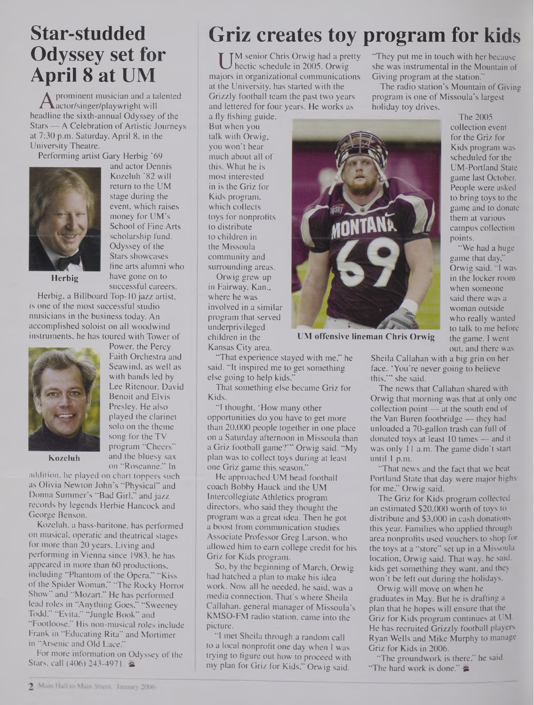## **Star-studded Odyssey set for April 8 at UM**

A prominent musician and a ta<br>adline the sixth-annual Odyssev prominent musician and a talented headline the sixth-annual Odyssey of the  $Stars - A$  Celebration of Artistic Journeys at 7:30 p.m. Saturday, April 8, in the University Theatre.

Performing artist Gary Herbig '69



and actor Dennis Kozeluh '82 will return to the UM stage during the event, which raises money for UM's School of Fine Arts scholarship fund. Odyssey of the Stars showcases fine arts alumni who have gone on to successful careers.

Power, the Percy Faith Orchestra and Seawind, as well as with bands led by Lee Ritenour, David Benoit and Elvis Presley. He also played the clarinet solo on the theme song for the TV program "Cheers" and the bluesy sax

**Herbig**

Herbig, a Billboard Top-10 jazz artist, is one of the most successful studio musicians in the business today. An accomplished soloist on all woodwind instruments, he has toured with Tower of



**Kozeluh**

on "Roseanne." In addition, he played on chart toppers such as Olivia Newton John's "Physical" and Donna Summer's "Bad Girl," and jazz records by legends Herbie Hancock and George Benson.

Kozeluh, a bass-baritone, has performed on musical, operatic and theatrical stages for more than 20 years. Living and performing in Vienna since 1983, he has appeared in more than 60 productions, including "Phantom of the Opera," "Kiss of the Spider Woman," "The Rocky Horror Show" and "Mozart." He has performed lead roles in "Anything Goes," "Sweeney Todd," "Evita," "Jungle Book" and "Footloose." His non-musical roles include Frank in "Educating Rita" and Mortimer in "Arsenic and Old Lace."

For more information on Odyssey of the Stars, call  $(406)$  243-4971.

## **Griz creates toy program for kids**

U <sup>M</sup> senior Chris Orwig had a pretty<br>hectic schedule in 2005. Orwig she<br>ajors in organizational communications Giv M senior Chris Orwig had a pretty hectic schedule in 2005. Orwig at the University, has started with the Grizzly football team the past two years and lettered for four years. He works as a fly fishing guide.

But when you talk with Orwig, you won't hear much about all of this. What he is most interested in is the Griz for Kids program, which collects toys for nonprofits to distribute to children in the Missoula community and surrounding areas.

Orwig grew up in Fairway, Kan., where he was involved in a similar program that served underprivileged children in the Kansas City area.

"That experience stayed with me," he said. "It inspired me to get something else going to help kids."

That something else became Griz for Kids.

"I thought, 'How many other opportunities do you have to get more than 20,000 people together in one place on a Saturday afternoon in Missoula than a Griz football game?'" Orwig said. "My plan was to collect toys during at least one Griz game this season."

He approached UM head football coach Bobby Hauck and the UM Intercollegiate Athletics program directors, who said they thought the program was a great idea. Then he got a boost from communication studies Associate Professor Greg Larson, who allowed him to earn college credit for his Griz for Kids program.

So, by the beginning of March, Orwig had hatched a plan to make his idea work. Now all he needed, he said, was a media connection. That's where Sheila Callahan, general manager of Missoula's KMSO-FM radio station, came into the picture.

"I met Sheila through a random call to a local nonprofit one day when I was trying to figure out how to proceed with my plan for Griz for Kids," Orwig said.

"They put me in touch with her because she was instrumental in the Mountain of Giving program at the station."

The radio station's Mountain of Giving program is one of Missoula's largest holiday toy drives.



**UM offensive lineman Chris Orwig**

The 2005 collection event for the Griz for Kids program was scheduled for the UM-Portland State game last October. People were asked to bring toys to the game and to donate them at various campus collection points.

"We had a huge game that day," Orwig said. "I was in the locker room when someone said there was a woman outside who really wanted to talk to me before the game. I went out, and there was

Sheila Callahan with a big grin on her face. 'You're never going to believe this,"' she said.

The news that Callahan shared with Orwig that morning was that at only one collection point — at the south end of the Van Buren footbridge — they had unloaded a 70-gallon trash can full of donated toys at least 10 times - and it was only 11 a.m. The game didn't start until <sup>1</sup> p.m.

"That news and the fact that we beat Portland State that day were major highs for me," Orwig said.

The Griz for Kids program collected an estimated \$20,000 worth of toys to distribute and \$3,000 in cash donations this year. Families who applied through area nonprofits used vouchers to shop for the toys at a "store" set up in a Missoula location, Orwig said. That way, he said, kids get something they want, and they won't be left out during the holidays.

Orwig will move on when he graduates in May. But he is drafting a plan that he hopes will ensure that the Griz for Kids program continues at UM. He has recruited Grizzly football players Ryan Wells and Mike Murphy to manage Griz for Kids in 2006.

"The groundwork is there," he said. "The hard work is done."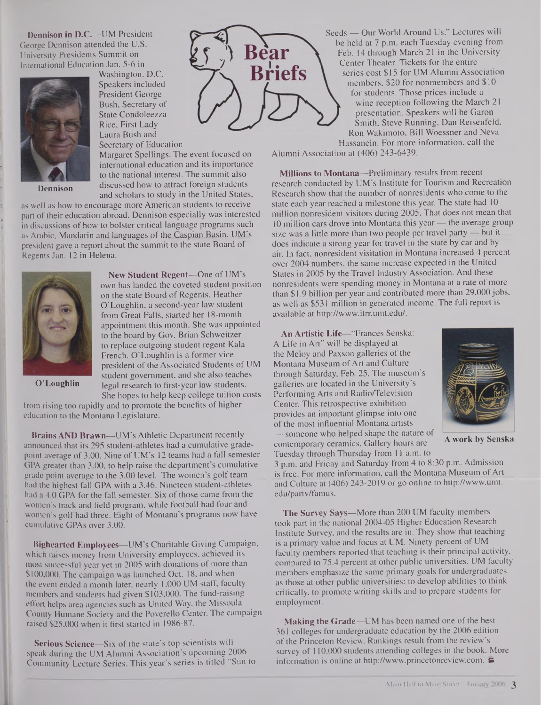**Dennison in D.C.—**UM President George Dennison attended the U.S. University Presidents Summit on International Education Jan. 5-6 in



**Dennison**

Washington, D.C. Speakers included President George Bush, Secretary of State Condoleezza Rice, First Lady Laura Bush and Secretary of Education

Margaret Spellings. The event focused on international education and its importance to the national interest. The summit also discussed how to attract foreign students and scholars to study in the United States,

as well as how to encourage more American students to receive part of their education abroad. Dennison especially was interested in discussions of how to bolster critical language programs such as Arabic, Mandarin and languages of the Caspian Basin. UM's president gave a report about the summit to the state Board of Regents Jan. 12 in Helena.



**New Student Regent—One** of UM's own has landed the coveted student position on the state Board of Regents. Heather O'Loughlin, a second-year law student from Great Falls, started her 18-month appointment this month. She was appointed to the board by Gov. Brian Schweitzer to replace outgoing student regent Kala French. O'Loughlin is a former vice president of the Associated Students of UM student government, and she also teaches legal research to first-year law students. She hopes to help keep college tuition costs

**O'Loughlin**

from rising too rapidly and to promote the benefits of higher education to the Montana Legislature.

**Brains AND Brawn—**UM's Athletic Department recently announced that its 295 student-athletes had a cumulative gradepoint average of 3.00. Nine of UM's 12 teams had a fall semester GPA greater than 3.00, to help raise the department's cumulative grade point average to the 3.00 level. The women's golf team had the highest fall GPA with a 3.46. Nineteen student-athletes had a 4.0 GPA for the fall semester. Six of those came from the women's track and field program, while football had four and women's golf had three. Eight of Montana's programs now have cumulative GPAs over 3.00.

**Bighearted Employees—**UM's Charitable Giving Campaign, which raises money from University employees, achieved its most successful year yet in 2005 with donations of more than \$100,000. The campaign was launched Oct. 18, and when the event ended a month later, nearly 1,000 UM staff, faculty members and students had given \$103,000. The fund-raising effort helps area agencies such as United Way, the Missoula County Humane Society and the Poverello Center. The campaign raised \$25,000 when it first started in 1986-87.

**Serious Science—**Six of the state's top scientists will speak during the UM Alumni Association's upcoming 2006 Community Lecture Series. This year's series is titled "Sun to



Seeds — Our World Around Us." Lectures will be held at 7 p.m. each Tuesday evening from Feb. 14 through March 21 in the University Center Theater. Tickets for the entire series cost \$15 for UM Alumni Association members, \$20 for nonmembers and \$10 for students. Those prices include a wine reception following the March 21 presentation. Speakers will be Garon Smith, Steve Running, Dan Reisenfeld, Ron Wakimoto, Bill Woessner and Neva Hassanein. For more information, call the

Alumni Association at (406) 243-6439.

**Millions to Montana—**Preliminary results from recent research conducted by UM's Institute for Tourism and Recreation Research show that the number of nonresidents who come to the state each year reached a milestone this year. The state had 10 million nonresident visitors during 2005. That does not mean that 10 million cars drove into Montana this year— the average group size was a little more than two people per travel party — but it does indicate a strong year for travel in the state by car and by air. In fact, nonresident visitation in Montana increased 4 percent over 2004 numbers, the same increase expected in the United States in 2005 by the Travel Industry Association. And these nonresidents were spending money in Montana at a rate of more than \$1.9 billion per year and contributed more than 29,000 jobs, as well as \$531 million in generated income. The full report is available at <http://www.itrr.umt.edu/>.

**AnArtistic Life—**"Frances Senska: A Life in Art" will be displayed at the Meloy and Paxson galleries of the Montana Museum of Art and Culture through Saturday, Feb. 25. The museum's galleries are located in the University's Performing Arts and Radio/Television Center. This retrospective exhibition provides an important glimpse into one of the most influential Montana artists — someone who helped shape the nature of contemporary ceramics. Gallery hours are Tuesday through Thursday from 11 a.m. to



**A work by Senska**

3 p.m. and Friday and Saturday from 4 to 8:30 p.m. Admission is free. For more information, call the Montana Museum of Art and Culture at (406) 243-2019 or go online to <http://www.umt>. edu/partv/famus.

**The Survey Says—**More than 200 UM faculty members took part in the national 2004-05 Higher Education Research Institute Survey, and the results are in. They show that teaching is a primary value and focus at UM. Ninety percent of UM faculty members reported that teaching is their principal activity, compared to 75.4 percent at other public universities. UM faculty members emphasize the same primary goals for undergraduates as those at other public universities: to develop abilities to think critically, to promote writing skills and to prepare students for employment.

**Making the Grade—UM** has been named one of the best 361 colleges for undergraduate education by the 2006 edition of the Princeton Review. Rankings result from the review's survey of  $110,000$  students attending colleges in the book. More information is online at <http://www.princetonreview.com>.